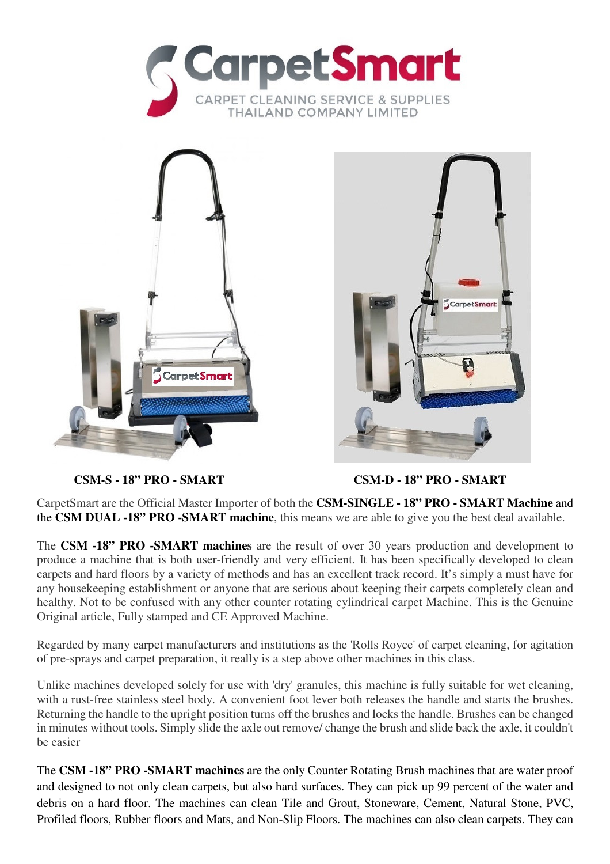





**CSM-S - 18" PRO - SMART CSM-D - 18" PRO - SMART**

CarpetSmart are the Official Master Importer of both the **CSM-SINGLE - 18" PRO - SMART Machine** and the **CSM DUAL -18" PRO -SMART machine**, this means we are able to give you the best deal available.

The **CSM -18" PRO -SMART machines** are the result of over 30 years production and development to produce a machine that is both user-friendly and very efficient. It has been specifically developed to clean carpets and hard floors by a variety of methods and has an excellent track record. It's simply a must have for any housekeeping establishment or anyone that are serious about keeping their carpets completely clean and healthy. Not to be confused with any other counter rotating cylindrical carpet Machine. This is the Genuine Original article, Fully stamped and CE Approved Machine.

Regarded by many carpet manufacturers and institutions as the 'Rolls Royce' of carpet cleaning, for agitation of pre-sprays and carpet preparation, it really is a step above other machines in this class.

Unlike machines developed solely for use with 'dry' granules, this machine is fully suitable for wet cleaning, with a rust-free stainless steel body. A convenient foot lever both releases the handle and starts the brushes. Returning the handle to the upright position turns off the brushes and locks the handle. Brushes can be changed in minutes without tools. Simply slide the axle out remove/ change the brush and slide back the axle, it couldn't be easier

The **CSM -18" PRO -SMART machines** are the only Counter Rotating Brush machines that are water proof and designed to not only clean carpets, but also hard surfaces. They can pick up 99 percent of the water and debris on a hard floor. The machines can clean Tile and Grout, Stoneware, Cement, Natural Stone, PVC, Profiled floors, Rubber floors and Mats, and Non-Slip Floors. The machines can also clean carpets. They can